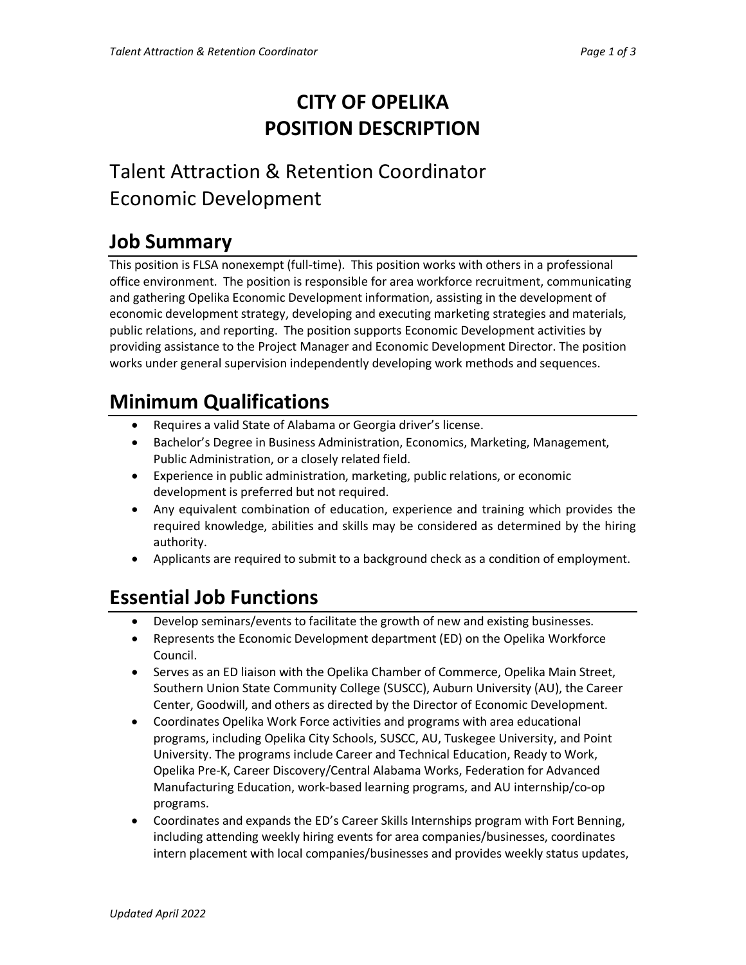# **CITY OF OPELIKA POSITION DESCRIPTION**

# Talent Attraction & Retention Coordinator Economic Development

# **Job Summary**

This position is FLSA nonexempt (full-time). This position works with others in a professional office environment. The position is responsible for area workforce recruitment, communicating and gathering Opelika Economic Development information, assisting in the development of economic development strategy, developing and executing marketing strategies and materials, public relations, and reporting. The position supports Economic Development activities by providing assistance to the Project Manager and Economic Development Director. The position works under general supervision independently developing work methods and sequences.

# **Minimum Qualifications**

- Requires a valid State of Alabama or Georgia driver's license.
- Bachelor's Degree in Business Administration, Economics, Marketing, Management, Public Administration, or a closely related field.
- Experience in public administration, marketing, public relations, or economic development is preferred but not required.
- Any equivalent combination of education, experience and training which provides the required knowledge, abilities and skills may be considered as determined by the hiring authority.
- Applicants are required to submit to a background check as a condition of employment.

## **Essential Job Functions**

- Develop seminars/events to facilitate the growth of new and existing businesses.
- Represents the Economic Development department (ED) on the Opelika Workforce Council.
- Serves as an ED liaison with the Opelika Chamber of Commerce, Opelika Main Street, Southern Union State Community College (SUSCC), Auburn University (AU), the Career Center, Goodwill, and others as directed by the Director of Economic Development.
- Coordinates Opelika Work Force activities and programs with area educational programs, including Opelika City Schools, SUSCC, AU, Tuskegee University, and Point University. The programs include Career and Technical Education, Ready to Work, Opelika Pre-K, Career Discovery/Central Alabama Works, Federation for Advanced Manufacturing Education, work-based learning programs, and AU internship/co-op programs.
- Coordinates and expands the ED's Career Skills Internships program with Fort Benning, including attending weekly hiring events for area companies/businesses, coordinates intern placement with local companies/businesses and provides weekly status updates,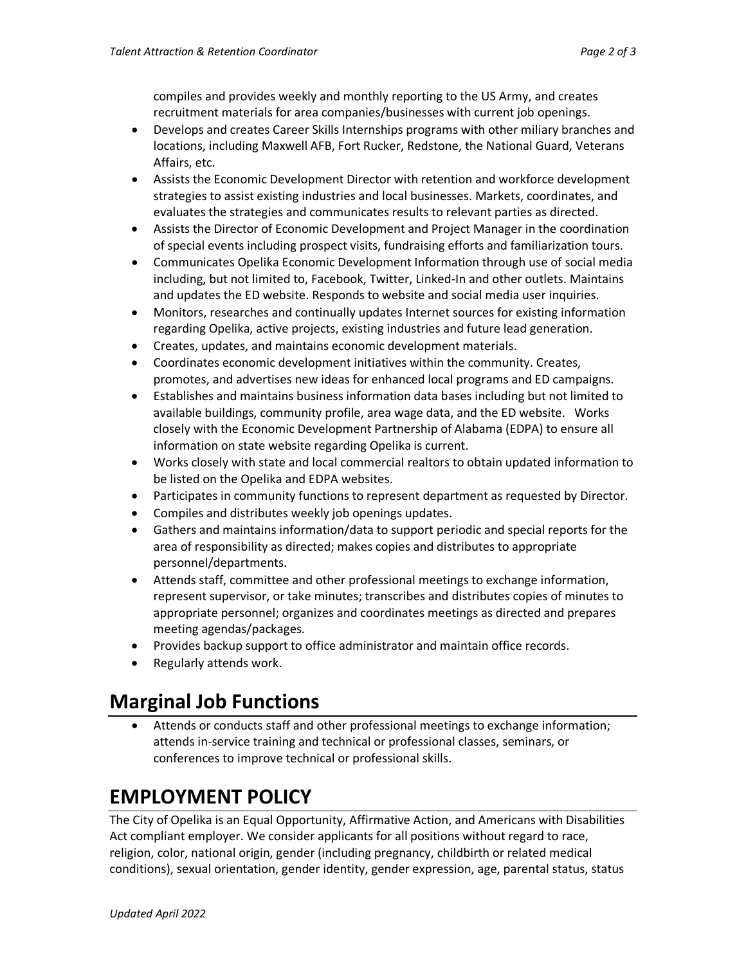compiles and provides weekly and monthly reporting to the US Army, and creates recruitment materials for area companies/businesses with current job openings.

- Develops and creates Career Skills Internships programs with other miliary branches and locations, including Maxwell AFB, Fort Rucker, Redstone, the National Guard, Veterans Affairs, etc.
- Assists the Economic Development Director with retention and workforce development strategies to assist existing industries and local businesses. Markets, coordinates, and evaluates the strategies and communicates results to relevant parties as directed.
- Assists the Director of Economic Development and Project Manager in the coordination of special events including prospect visits, fundraising efforts and familiarization tours.
- Communicates Opelika Economic Development Information through use of social media including, but not limited to, Facebook, Twitter, Linked-In and other outlets. Maintains and updates the ED website. Responds to website and social media user inquiries.
- Monitors, researches and continually updates Internet sources for existing information regarding Opelika, active projects, existing industries and future lead generation.
- Creates, updates, and maintains economic development materials.
- Coordinates economic development initiatives within the community. Creates, promotes, and advertises new ideas for enhanced local programs and ED campaigns.
- Establishes and maintains business information data bases including but not limited to available buildings, community profile, area wage data, and the ED website. Works closely with the Economic Development Partnership of Alabama (EDPA) to ensure all information on state website regarding Opelika is current.
- Works closely with state and local commercial realtors to obtain updated information to be listed on the Opelika and EDPA websites.
- Participates in community functions to represent department as requested by Director.
- Compiles and distributes weekly job openings updates.
- Gathers and maintains information/data to support periodic and special reports for the area of responsibility as directed; makes copies and distributes to appropriate personnel/departments.
- Attends staff, committee and other professional meetings to exchange information, represent supervisor, or take minutes; transcribes and distributes copies of minutes to appropriate personnel; organizes and coordinates meetings as directed and prepares meeting agendas/packages.
- Provides backup support to office administrator and maintain office records.
- Regularly attends work.

#### **Marginal Job Functions**

• Attends or conducts staff and other professional meetings to exchange information; attends in-service training and technical or professional classes, seminars, or conferences to improve technical or professional skills.

## **EMPLOYMENT POLICY**

The City of Opelika is an Equal Opportunity, Affirmative Action, and Americans with Disabilities Act compliant employer. We consider applicants for all positions without regard to race, religion, color, national origin, gender (including pregnancy, childbirth or related medical conditions), sexual orientation, gender identity, gender expression, age, parental status, status